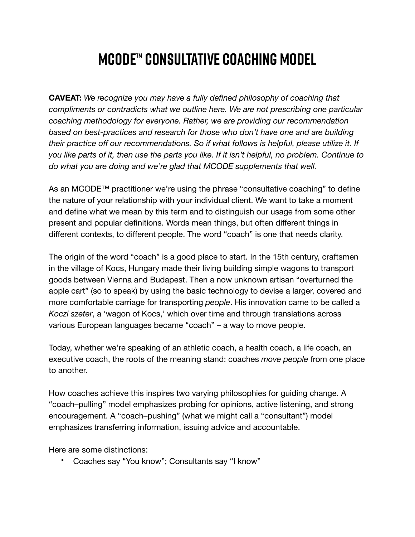## **MCODE™ Consultative Coaching Model**

**CAVEAT:** *We recognize you may have a fully defined philosophy of coaching that compliments or contradicts what we outline here. We are not prescribing one particular coaching methodology for everyone. Rather, we are providing our recommendation based on best-practices and research for those who don't have one and are building their practice off our recommendations. So if what follows is helpful, please utilize it. If you like parts of it, then use the parts you like. If it isn't helpful, no problem. Continue to do what you are doing and we're glad that MCODE supplements that well.*

As an MCODE™ practitioner we're using the phrase "consultative coaching" to define the nature of your relationship with your individual client. We want to take a moment and define what we mean by this term and to distinguish our usage from some other present and popular definitions. Words mean things, but often different things in different contexts, to different people. The word "coach" is one that needs clarity.

The origin of the word "coach" is a good place to start. In the 15th century, craftsmen in the village of Kocs, Hungary made their living building simple wagons to transport goods between Vienna and Budapest. Then a now unknown artisan "overturned the apple cart" (so to speak) by using the basic technology to devise a larger, covered and more comfortable carriage for transporting *people*. His innovation came to be called a *Koczi szeter*, a 'wagon of Kocs,' which over time and through translations across various European languages became "coach" – a way to move people.

Today, whether we're speaking of an athletic coach, a health coach, a life coach, an executive coach, the roots of the meaning stand: coaches *move people* from one place to another.

How coaches achieve this inspires two varying philosophies for guiding change. A "coach–pulling" model emphasizes probing for opinions, active listening, and strong encouragement. A "coach–pushing" (what we might call a "consultant") model emphasizes transferring information, issuing advice and accountable.

Here are some distinctions:

• Coaches say "You know"; Consultants say "I know"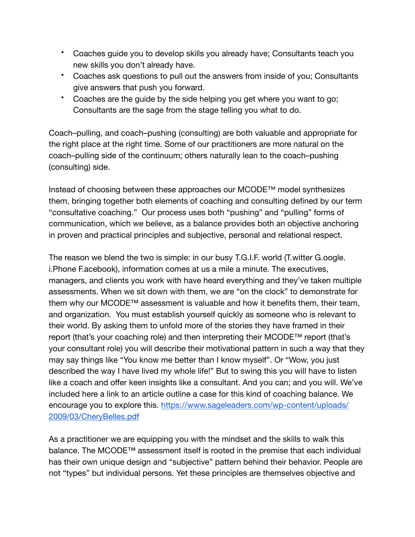- Coaches guide you to develop skills you already have; Consultants teach you new skills you don't already have.
- Coaches ask questions to pull out the answers from inside of you; Consultants give answers that push you forward.
- Coaches are the guide by the side helping you get where you want to go; Consultants are the sage from the stage telling you what to do.

Coach–pulling, and coach–pushing (consulting) are both valuable and appropriate for the right place at the right time. Some of our practitioners are more natural on the coach–pulling side of the continuum; others naturally lean to the coach–pushing (consulting) side.

Instead of choosing between these approaches our MCODE™ model synthesizes them, bringing together both elements of coaching and consulting defined by our term "consultative coaching." Our process uses both "pushing" and "pulling" forms of communication, which we believe, as a balance provides both an objective anchoring in proven and practical principles and subjective, personal and relational respect.

The reason we blend the two is simple: in our busy T.G.I.F. world (T.witter G.oogle. i.Phone F.acebook), information comes at us a mile a minute. The executives, managers, and clients you work with have heard everything and they've taken multiple assessments. When we sit down with them, we are "on the clock" to demonstrate for them why our MCODE™ assessment is valuable and how it benefits them, their team, and organization. You must establish yourself quickly as someone who is relevant to their world. By asking them to unfold more of the stories they have framed in their report (that's your coaching role) and then interpreting their MCODE™ report (that's your consultant role) you will describe their motivational pattern in such a way that they may say things like "You know me better than I know myself". Or "Wow, you just described the way I have lived my whole life!" But to swing this you will have to listen like a coach and offer keen insights like a consultant. And you can; and you will. We've included here a link to an article outline a case for this kind of coaching balance. We encourage you to explore this. [https://www.sageleaders.com/wp-content/uploads/](https://www.sageleaders.com/wp-content/uploads/2009/03/CheryBelles.pdf) [2009/03/CheryBelles.pdf](https://www.sageleaders.com/wp-content/uploads/2009/03/CheryBelles.pdf)

As a practitioner we are equipping you with the mindset and the skills to walk this balance. The MCODE™ assessment itself is rooted in the premise that each individual has their own unique design and "subjective" pattern behind their behavior. People are not "types" but individual persons. Yet these principles are themselves objective and